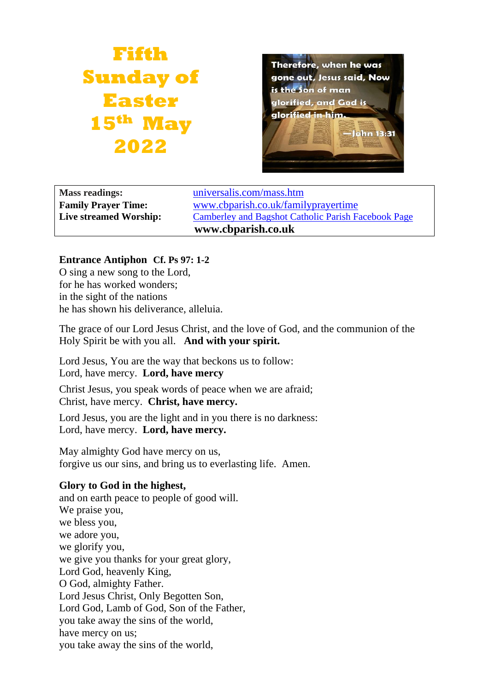# **Fifth Sunday of Easter 15th May 2022**



**Mass readings:** [universalis.com/mass.htm](https://universalis.com/mass.htm) **Family Prayer Time:** www.cbparish.co.uk/familyprayertime **Live streamed Worship:** [Camberley and Bagshot Catholic Parish Facebook Page](https://www.facebook.com/Camberley-Bagshot-Catholic-Parish-102099478101801/) **www.cbparish.co.uk**

## **Entrance Antiphon Cf. Ps 97: 1-2**

O sing a new song to the Lord, for he has worked wonders; in the sight of the nations he has shown his deliverance, alleluia.

The grace of our Lord Jesus Christ, and the love of God, and the communion of the Holy Spirit be with you all. **And with your spirit.**

Lord Jesus, You are the way that beckons us to follow: Lord, have mercy. **Lord, have mercy**

Christ Jesus, you speak words of peace when we are afraid; Christ, have mercy. **Christ, have mercy.**

Lord Jesus, you are the light and in you there is no darkness: Lord, have mercy. **Lord, have mercy.**

May almighty God have mercy on us, forgive us our sins, and bring us to everlasting life. Amen.

# **Glory to God in the highest,**

and on earth peace to people of good will. We praise you, we bless you, we adore you, we glorify you, we give you thanks for your great glory, Lord God, heavenly King, O God, almighty Father. Lord Jesus Christ, Only Begotten Son, Lord God, Lamb of God, Son of the Father, you take away the sins of the world, have mercy on us; you take away the sins of the world,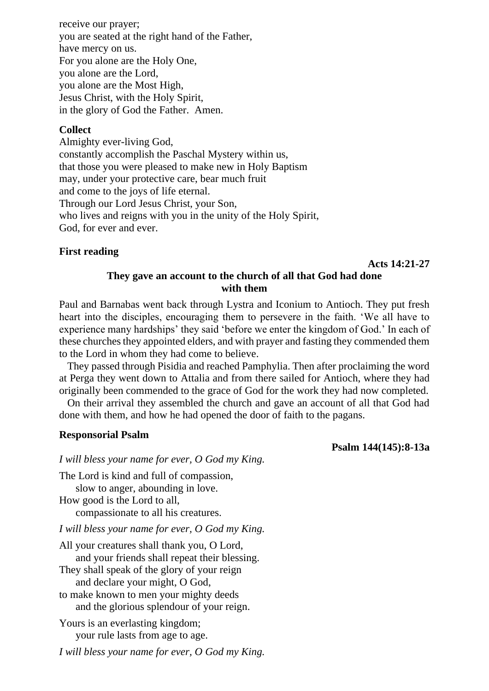receive our prayer; you are seated at the right hand of the Father, have mercy on us. For you alone are the Holy One, you alone are the Lord, you alone are the Most High, Jesus Christ, with the Holy Spirit, in the glory of God the Father. Amen.

#### **Collect**

Almighty ever-living God, constantly accomplish the Paschal Mystery within us, that those you were pleased to make new in Holy Baptism may, under your protective care, bear much fruit and come to the joys of life eternal. Through our Lord Jesus Christ, your Son, who lives and reigns with you in the unity of the Holy Spirit, God, for ever and ever.

#### **First reading**

**Acts 14:21-27**

## **They gave an account to the church of all that God had done with them**

Paul and Barnabas went back through Lystra and Iconium to Antioch. They put fresh heart into the disciples, encouraging them to persevere in the faith. 'We all have to experience many hardships' they said 'before we enter the kingdom of God.' In each of these churches they appointed elders, and with prayer and fasting they commended them to the Lord in whom they had come to believe.

They passed through Pisidia and reached Pamphylia. Then after proclaiming the word at Perga they went down to Attalia and from there sailed for Antioch, where they had originally been commended to the grace of God for the work they had now completed.

On their arrival they assembled the church and gave an account of all that God had done with them, and how he had opened the door of faith to the pagans.

#### **Responsorial Psalm**

**Psalm 144(145):8-13a**

*I will bless your name for ever, O God my King.*

The Lord is kind and full of compassion, slow to anger, abounding in love. How good is the Lord to all, compassionate to all his creatures.

*I will bless your name for ever, O God my King.*

All your creatures shall thank you, O Lord, and your friends shall repeat their blessing. They shall speak of the glory of your reign and declare your might, O God, to make known to men your mighty deeds and the glorious splendour of your reign. Yours is an everlasting kingdom;

your rule lasts from age to age.

*I will bless your name for ever, O God my King.*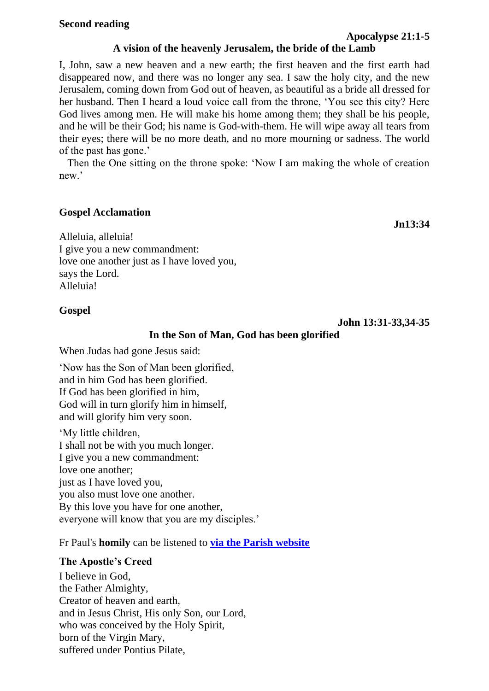## **A vision of the heavenly Jerusalem, the bride of the Lamb**

I, John, saw a new heaven and a new earth; the first heaven and the first earth had disappeared now, and there was no longer any sea. I saw the holy city, and the new Jerusalem, coming down from God out of heaven, as beautiful as a bride all dressed for her husband. Then I heard a loud voice call from the throne, 'You see this city? Here God lives among men. He will make his home among them; they shall be his people, and he will be their God; his name is God-with-them. He will wipe away all tears from their eyes; there will be no more death, and no more mourning or sadness. The world of the past has gone.'

Then the One sitting on the throne spoke: 'Now I am making the whole of creation new.'

## **Gospel Acclamation**

**Jn13:34**

Alleluia, alleluia! I give you a new commandment: love one another just as I have loved you, says the Lord. Alleluia!

# **Gospel**

**John 13:31-33,34-35**

# **In the Son of Man, God has been glorified**

When Judas had gone Jesus said:

'Now has the Son of Man been glorified, and in him God has been glorified. If God has been glorified in him, God will in turn glorify him in himself, and will glorify him very soon.

'My little children, I shall not be with you much longer. I give you a new commandment: love one another; just as I have loved you, you also must love one another. By this love you have for one another, everyone will know that you are my disciples.'

Fr Paul's **homily** can be listened to **via the Parish [website](https://www.cbparish.co.uk/homilies)**

# **The Apostle's Creed**

I believe in God, the Father Almighty, Creator of heaven and earth, and in Jesus Christ, His only Son, our Lord, who was conceived by the Holy Spirit, born of the Virgin Mary, suffered under Pontius Pilate,